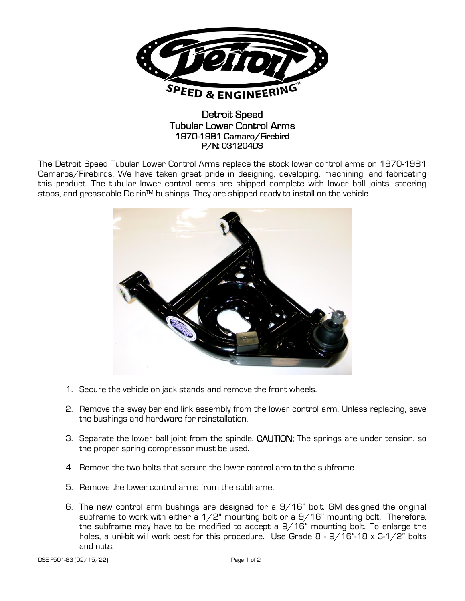

## Detroit Speed Tubular Lower Control Arms 1970-1981 Camaro/Firebird P/N: 031204DS

The Detroit Speed Tubular Lower Control Arms replace the stock lower control arms on 1970-1981 Camaros/Firebirds. We have taken great pride in designing, developing, machining, and fabricating this product. The tubular lower control arms are shipped complete with lower ball joints, steering stops, and greaseable Delrin™ bushings. They are shipped ready to install on the vehicle.



- 1. Secure the vehicle on jack stands and remove the front wheels.
- 2. Remove the sway bar end link assembly from the lower control arm. Unless replacing, save the bushings and hardware for reinstallation.
- 3. Separate the lower ball joint from the spindle. CAUTION: The springs are under tension, so the proper spring compressor must be used.
- 4. Remove the two bolts that secure the lower control arm to the subframe.
- 5. Remove the lower control arms from the subframe.
- 6. The new control arm bushings are designed for a 9/16" bolt. GM designed the original subframe to work with either a  $1/2$ " mounting bolt or a  $9/16$ " mounting bolt. Therefore, the subframe may have to be modified to accept a 9/16" mounting bolt. To enlarge the holes, a uni-bit will work best for this procedure. Use Grade 8 - 9/16"-18 x 3-1/2" bolts and nuts.